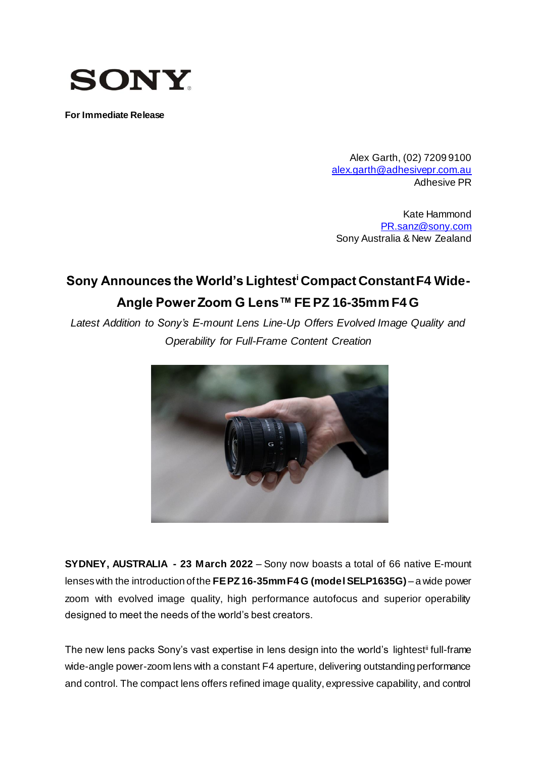

**For Immediate Release**

Alex Garth, (02) 7209 9100 [alex.garth@adhesivepr.com.au](mailto:alex.garth@adhesivepr.com.au) Adhesive PR

Kate Hammond [PR.sanz@sony.com](mailto:PR.sanz@sony.com) Sony Australia & New Zealand

# **Sony Announces the World's Lightest<sup>i</sup> Compact Constant F4 Wide-Angle Power Zoom G Lens™ FE PZ 16-35mm F4 G**

*Latest Addition to Sony's E-mount Lens Line-Up Offers Evolved Image Quality and Operability for Full-Frame Content Creation*



**SYDNEY, AUSTRALIA - 23 March 2022** – Sony now boasts a total of 66 native E-mount lenses with the introduction of the **FE PZ 16-35mm F4 G (model SELP1635G)** – a wide power zoom with evolved image quality, high performance autofocus and superior operability designed to meet the needs of the world's best creators.

The new lens packs Sony's vast expertise in lens design into the world's lightest<sup>ii</sup> full-frame wide-angle power-zoom lens with a constant F4 aperture, delivering outstanding performance and control. The compact lens offers refined image quality, expressive capability, and control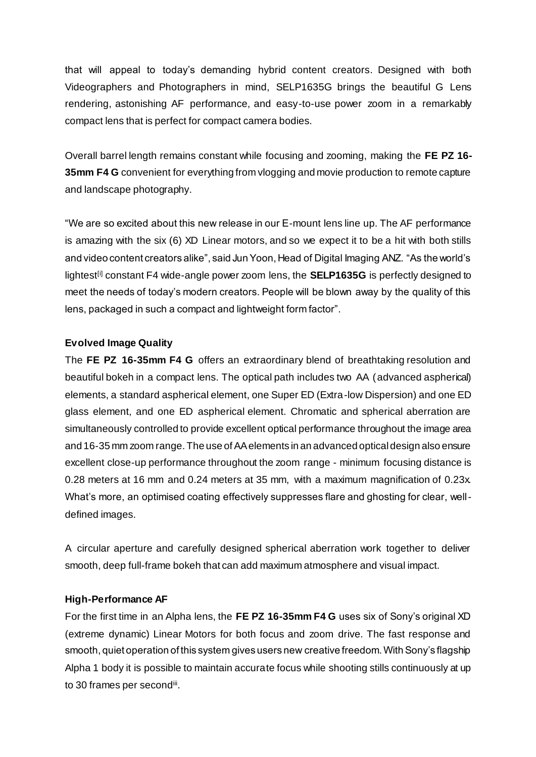that will appeal to today's demanding hybrid content creators. Designed with both Videographers and Photographers in mind, SELP1635G brings the beautiful G Lens rendering, astonishing AF performance, and easy-to-use power zoom in a remarkably compact lens that is perfect for compact camera bodies.

Overall barrel length remains constant while focusing and zooming, making the **FE PZ 16- 35mm F4 G** convenient for everything from vlogging and movie production to remote capture and landscape photography.

"We are so excited about this new release in our E-mount lens line up. The AF performance is amazing with the six (6) XD Linear motors, and so we expect it to be a hit with both stills and video content creators alike", said Jun Yoon, Head of Digital Imaging ANZ. "As the world's lightest<sup>[i]</sup> constant F4 wide-angle power zoom lens, the **SELP1635G** is perfectly designed to meet the needs of today's modern creators. People will be blown away by the quality of this lens, packaged in such a compact and lightweight form factor".

#### **Evolved Image Quality**

The **FE PZ 16-35mm F4 G** offers an extraordinary blend of breathtaking resolution and beautiful bokeh in a compact lens. The optical path includes two AA (advanced aspherical) elements, a standard aspherical element, one Super ED (Extra-low Dispersion) and one ED glass element, and one ED aspherical element. Chromatic and spherical aberration are simultaneously controlled to provide excellent optical performance throughout the image area and 16-35 mm zoom range. The use of AA elements in an advanced optical design also ensure excellent close-up performance throughout the zoom range - minimum focusing distance is 0.28 meters at 16 mm and 0.24 meters at 35 mm, with a maximum magnification of 0.23x. What's more, an optimised coating effectively suppresses flare and ghosting for clear, welldefined images.

A circular aperture and carefully designed spherical aberration work together to deliver smooth, deep full-frame bokeh that can add maximum atmosphere and visual impact.

#### **High-Performance AF**

For the first time in an Alpha lens, the **FE PZ 16-35mm F4 G** uses six of Sony's original XD (extreme dynamic) Linear Motors for both focus and zoom drive. The fast response and smooth, quiet operation of this system gives users new creative freedom. With Sony's flagship Alpha 1 body it is possible to maintain accurate focus while shooting stills continuously at up to 30 frames per second<sup>iii</sup>.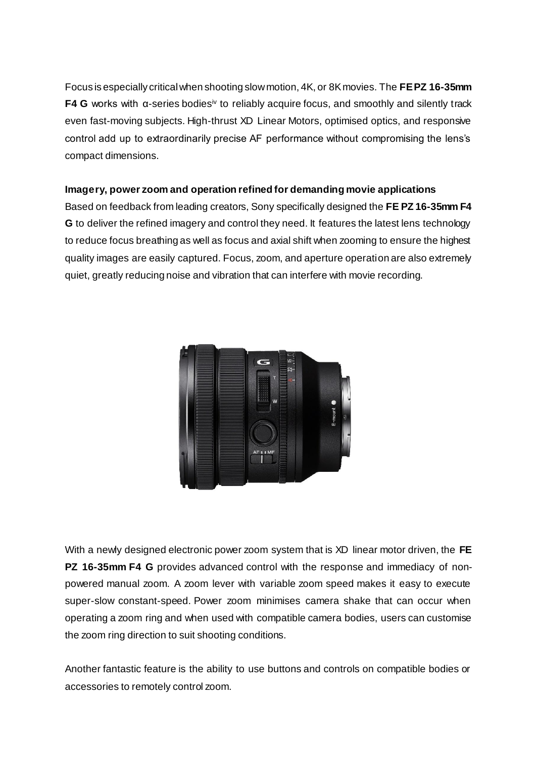Focus is especially critical when shooting slow motion, 4K, or 8K movies. The **FE PZ 16-35mm F4 G** works with α-series bodiesiv to reliably acquire focus, and smoothly and silently track even fast-moving subjects. High-thrust XD Linear Motors, optimised optics, and responsive control add up to extraordinarily precise AF performance without compromising the lens's compact dimensions.

### **Imagery, power zoom and operation refined for demanding movie applications**

Based on feedback from leading creators, Sony specifically designed the **FE PZ 16-35mm F4 G** to deliver the refined imagery and control they need. It features the latest lens technology to reduce focus breathing as well as focus and axial shift when zooming to ensure the highest quality images are easily captured. Focus, zoom, and aperture operation are also extremely quiet, greatly reducing noise and vibration that can interfere with movie recording.



With a newly designed electronic power zoom system that is XD linear motor driven, the **FE PZ 16-35mm F4 G** provides advanced control with the response and immediacy of nonpowered manual zoom. A zoom lever with variable zoom speed makes it easy to execute super-slow constant-speed. Power zoom minimises camera shake that can occur when operating a zoom ring and when used with compatible camera bodies, users can customise the zoom ring direction to suit shooting conditions.

Another fantastic feature is the ability to use buttons and controls on compatible bodies or accessories to remotely control zoom.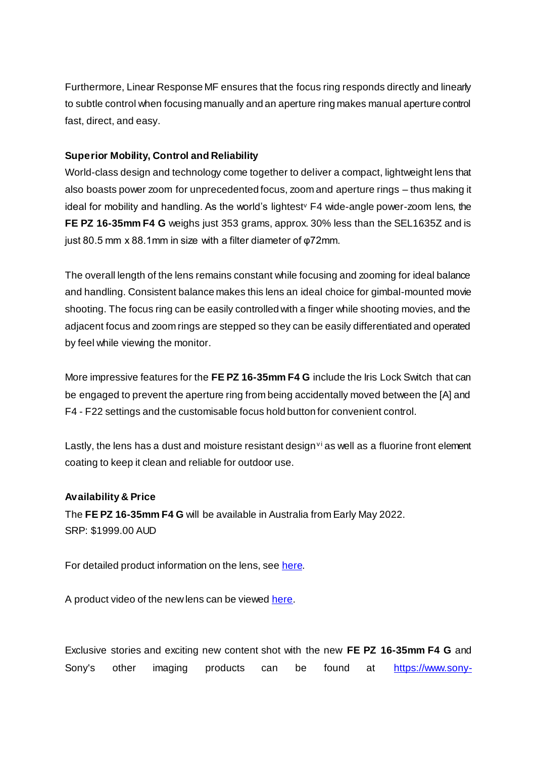Furthermore, Linear Response MF ensures that the focus ring responds directly and linearly to subtle control when focusing manually and an aperture ring makes manual aperture control fast, direct, and easy.

## **Superior Mobility, Control and Reliability**

World-class design and technology come together to deliver a compact, lightweight lens that also boasts power zoom for unprecedented focus, zoom and aperture rings – thus making it ideal for mobility and handling. As the world's lightest<sup>y</sup> F4 wide-angle power-zoom lens, the **FE PZ 16-35mm F4 G** weighs just 353 grams, approx. 30% less than the SEL1635Z and is just 80.5 mm x 88.1mm in size with a filter diameter of φ72mm.

The overall length of the lens remains constant while focusing and zooming for ideal balance and handling. Consistent balance makes this lens an ideal choice for gimbal-mounted movie shooting. The focus ring can be easily controlled with a finger while shooting movies, and the adjacent focus and zoom rings are stepped so they can be easily differentiated and operated by feel while viewing the monitor.

More impressive features for the **FE PZ 16-35mm F4 G** include the Iris Lock Switch that can be engaged to prevent the aperture ring from being accidentally moved between the [A] and F4 - F22 settings and the customisable focus hold button for convenient control.

Lastly, the lens has a dust and moisture resistant design<sup> $\vee$ </sup> as well as a fluorine front element coating to keep it clean and reliable for outdoor use.

#### **Availability & Price**

The **FE PZ 16-35mm F4 G** will be available in Australia from Early May 2022. SRP: \$1999.00 AUD

For detailed product information on the lens, se[e here](https://www.sony.com.au/electronics/camera-lenses/selp1635g).

A product video of the new lens can be viewed [here.](https://www.youtube.com/watch?v=t9UidBrlsSs)

Exclusive stories and exciting new content shot with the new **FE PZ 16-35mm F4 G** and Sony's other imaging products can be found at [https://www.sony-](https://www.sony-asia.com/alphauniverse/home)